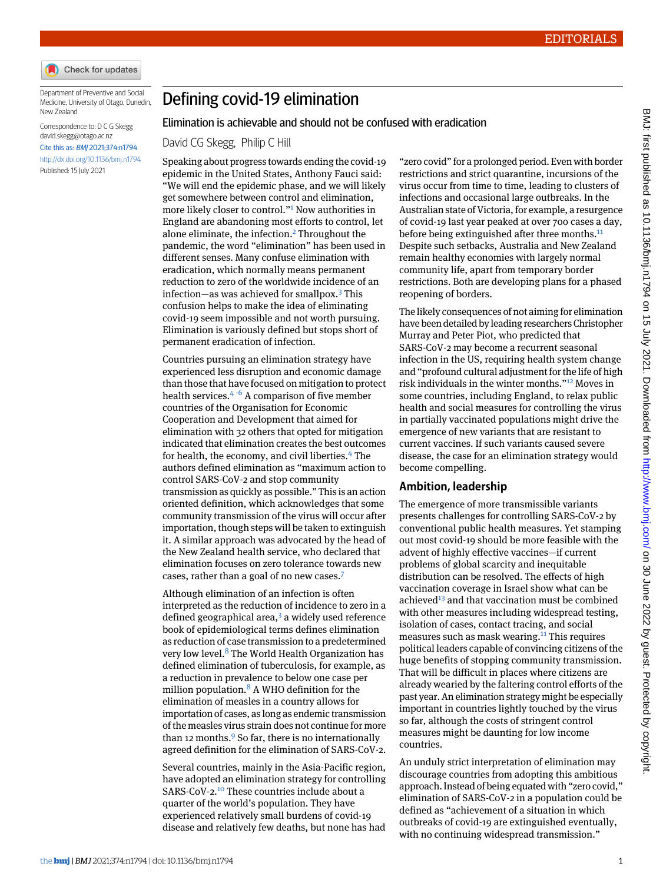

Department of Preventive and Social Medicine, University of Otago, Dunedin, New Zealand

Correspondence to: D C G Skegg [david.skegg@otago.ac.nz](mailto:david.skegg@otago.ac.nz) Cite this as: BMJ 2021;374:n1794 <http://dx.doi.org/10.1136/bmj.n1794> Published: 15 July 2021

## Defining covid-19 elimination

## Elimination is achievable and should not be confused with eradication

David CG Skegg, Philip C Hill

Speaking about progress towards ending the covid-19 epidemic in the United States, Anthony Fauci said: "We will end the epidemic phase, and we will likely get somewhere between control and elimination, more likely closer to control." [1](#page-1-0) Now authorities in England are abandoning most efforts to control, let alone eliminate, the infection.<sup>[2](#page-1-1)</sup> Throughout the pandemic, the word "elimination" has been used in different senses. Many confuse elimination with eradication, which normally means permanent reduction to zero of the worldwide incidence of an infection—as was achieved for smallpox.[3](#page-1-2) This confusion helps to make the idea of eliminating covid-19 seem impossible and not worth pursuing. Elimination is variously defined but stops short of permanent eradication of infection.

Countries pursuing an elimination strategy have experienced less disruption and economic damage than those that have focused on mitigation to protect health services. $4 \cdot 6$  $4 \cdot 6$  $4 \cdot 6$  A comparison of five member countries of the Organisation for Economic Cooperation and Development that aimed for elimination with 32 others that opted for mitigation indicated that elimination creates the best outcomes for health, the economy, and civil liberties.<sup>[4](#page-1-3)</sup> The authors defined elimination as "maximum action to control SARS-CoV-2 and stop community transmission as quickly as possible." This is an action oriented definition, which acknowledges that some community transmission of the virus will occur after importation, though steps will be taken to extinguish it. A similar approach was advocated by the head of the New Zealand health service, who declared that elimination focuses on zero tolerance towards new cases, rather than a goal of no new cases.[7](#page-1-6)

Although elimination of an infection is often interpreted as the reduction of incidence to zero in a defined geographical area, $3$  a widely used reference book of epidemiological terms defines elimination as reduction of case transmission to a predetermined very low level.[8](#page-1-7) The World Health Organization has defined elimination of tuberculosis, for example, as a reduction in prevalence to below one case per million population. $8$  A WHO definition for the elimination of measles in a country allows for importation of cases, as long as endemic transmission of the measles virus strain does not continue for more than 12 months. $9$  So far, there is no internationally agreed definition for the elimination of SARS-CoV-2.

Several countries, mainly in the Asia-Pacific region, have adopted an elimination strategy for controlling SARS-CoV-2.[10](#page-1-9) These countries include about a quarter of the world's population. They have experienced relatively small burdens of covid-19 disease and relatively few deaths, but none has had

"zero covid" for a prolonged period. Even with border restrictions and strict quarantine, incursions of the virus occur from time to time, leading to clusters of infections and occasional large outbreaks. In the Australian state of Victoria, for example, a resurgence of covid-19 last year peaked at over 700 cases a day, before being extinguished after three months.<sup>[11](#page-1-10)</sup> Despite such setbacks, Australia and New Zealand remain healthy economies with largely normal community life, apart from temporary border restrictions. Both are developing plans for a phased reopening of borders.

The likely consequences of not aiming for elimination have been detailed byleading researchers Christopher Murray and Peter Piot, who predicted that SARS-CoV-2 may become a recurrent seasonal infection in the US, requiring health system change and "profound cultural adjustment for the life of high risk individuals in the winter months." [12](#page-1-11) Moves in some countries, including England, to relax public health and social measures for controlling the virus in partially vaccinated populations might drive the emergence of new variants that are resistant to current vaccines. If such variants caused severe disease, the case for an elimination strategy would become compelling.

## **Ambition, leadership**

The emergence of more transmissible variants presents challenges for controlling SARS-CoV-2 by conventional public health measures. Yet stamping out most covid-19 should be more feasible with the advent of highly effective vaccines—if current problems of global scarcity and inequitable distribution can be resolved. The effects of high vaccination coverage in Israel show what can be achieved<sup>[13](#page-1-12)</sup> and that vaccination must be combined with other measures including widespread testing, isolation of cases, contact tracing, and social measures such as mask wearing.<sup>[11](#page-1-10)</sup> This requires political leaders capable of convincing citizens of the huge benefits of stopping community transmission. That will be difficult in places where citizens are already wearied by the faltering control efforts of the past year. An elimination strategy might be especially important in countries lightly touched by the virus so far, although the costs of stringent control measures might be daunting for low income countries.

An unduly strict interpretation of elimination may discourage countries from adopting this ambitious approach. Instead of being equated with "zero covid," elimination of SARS-CoV-2 in a population could be defined as "achievement of a situation in which outbreaks of covid-19 are extinguished eventually, with no continuing widespread transmission."